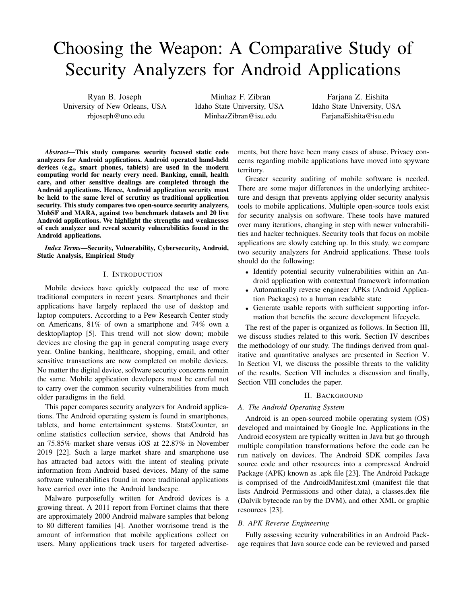# Choosing the Weapon: A Comparative Study of Security Analyzers for Android Applications

Ryan B. Joseph University of New Orleans, USA rbjoseph@uno.edu

Minhaz F. Zibran Idaho State University, USA MinhazZibran@isu.edu

Farjana Z. Eishita Idaho State University, USA FarjanaEishita@isu.edu

*Abstract*—This study compares security focused static code analyzers for Android applications. Android operated hand-held devices (e.g., smart phones, tablets) are used in the modern computing world for nearly every need. Banking, email, health care, and other sensitive dealings are completed through the Android applications. Hence, Android application security must be held to the same level of scrutiny as traditional application security. This study compares two open-source security analyzers, MobSF and MARA, against two benchmark datasets and 20 live Android applications. We highlight the strengths and weaknesses of each analyzer and reveal security vulnerabilities found in the Android applications.

*Index Terms*—Security, Vulnerability, Cybersecurity, Android, Static Analysis, Empirical Study

### I. INTRODUCTION

Mobile devices have quickly outpaced the use of more traditional computers in recent years. Smartphones and their applications have largely replaced the use of desktop and laptop computers. According to a Pew Research Center study on Americans, 81% of own a smartphone and 74% own a desktop/laptop [5]. This trend will not slow down; mobile devices are closing the gap in general computing usage every year. Online banking, healthcare, shopping, email, and other sensitive transactions are now completed on mobile devices. No matter the digital device, software security concerns remain the same. Mobile application developers must be careful not to carry over the common security vulnerabilities from much older paradigms in the field.

This paper compares security analyzers for Android applications. The Android operating system is found in smartphones, tablets, and home entertainment systems. StatsCounter, an online statistics collection service, shows that Android has an 75.85% market share versus iOS at 22.87% in November 2019 [22]. Such a large market share and smartphone use has attracted bad actors with the intent of stealing private information from Android based devices. Many of the same software vulnerabilities found in more traditional applications have carried over into the Android landscape.

Malware purposefully written for Android devices is a growing threat. A 2011 report from Fortinet claims that there are approximately 2000 Android malware samples that belong to 80 different families [4]. Another worrisome trend is the amount of information that mobile applications collect on users. Many applications track users for targeted advertisements, but there have been many cases of abuse. Privacy concerns regarding mobile applications have moved into spyware territory.

Greater security auditing of mobile software is needed. There are some major differences in the underlying architecture and design that prevents applying older security analysis tools to mobile applications. Multiple open-source tools exist for security analysis on software. These tools have matured over many iterations, changing in step with newer vulnerabilities and hacker techniques. Security tools that focus on mobile applications are slowly catching up. In this study, we compare two security analyzers for Android applications. These tools should do the following:

- Identify potential security vulnerabilities within an Android application with contextual framework information
- Automatically reverse engineer APKs (Android Application Packages) to a human readable state
- Generate usable reports with sufficient supporting information that benefits the secure development lifecycle.

The rest of the paper is organized as follows. In Section III, we discuss studies related to this work. Section IV describes the methodology of our study. The findings derived from qualitative and quantitative analyses are presented in Section V. In Section VI, we discuss the possible threats to the validity of the results. Section VII includes a discussion and finally, Section VIII concludes the paper.

#### II. BACKGROUND

## *A. The Android Operating System*

Android is an open-sourced mobile operating system (OS) developed and maintained by Google Inc. Applications in the Android ecosystem are typically written in Java but go through multiple compilation transformations before the code can be run natively on devices. The Android SDK compiles Java source code and other resources into a compressed Android Package (APK) known as .apk file [23]. The Android Package is comprised of the AndroidManifest.xml (manifest file that lists Android Permissions and other data), a classes.dex file (Dalvik bytecode ran by the DVM), and other XML or graphic resources [23].

## *B. APK Reverse Engineering*

Fully assessing security vulnerabilities in an Android Package requires that Java source code can be reviewed and parsed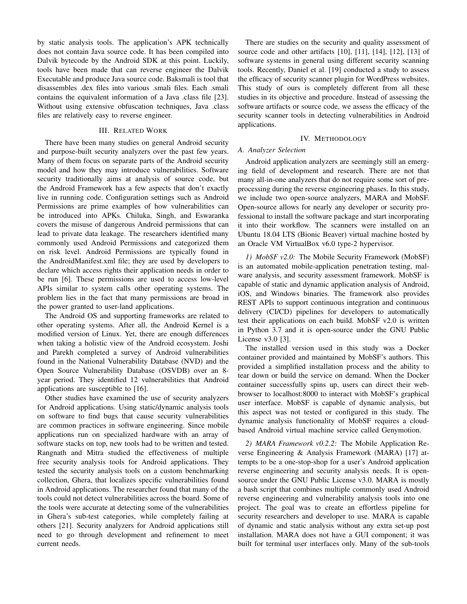by static analysis tools. The application's APK technically does not contain Java source code. It has been compiled into Dalvik bytecode by the Android SDK at this point. Luckily, tools have been made that can reverse engineer the Dalvik Executable and produce Java source code. Baksmali is tool that disassembles .dex files into various .smali files. Each .smali contains the equivalent information of a Java .class file [23]. Without using extensive obfuscation techniques, Java .class files are relatively easy to reverse engineer.

### III. RELATED WORK

There have been many studies on general Android security and purpose-built security analyzers over the past few years. Many of them focus on separate parts of the Android security model and how they may introduce vulnerabilities. Software security traditionally aims at analysis of source code, but the Android Framework has a few aspects that don't exactly live in running code. Configuration settings such as Android Permissions are prime examples of how vulnerabilities can be introduced into APKs. Chiluka, Singh, and Eswaranka covers the misuse of dangerous Android permissions that can lead to private data leakage. The researchers identified many commonly used Android Permissions and categorized them on risk level. Android Permissions are typically found in the AndroidManifest.xml file; they are used by developers to declare which access rights their application needs in order to be run [6]. These permissions are used to access low-level APIs similar to system calls other operating systems. The problem lies in the fact that many permissions are broad in the power granted to user-land applications.

The Android OS and supporting frameworks are related to other operating systems. After all, the Android Kernel is a modified version of Linux. Yet, there are enough differences when taking a holistic view of the Android ecosystem. Joshi and Parekh completed a survey of Android vulnerabilities found in the National Vulnerability Database (NVD) and the Open Source Vulnerability Database (OSVDB) over an 8 year period. They identified 12 vulnerabilities that Android applications are susceptible to [16].

Other studies have examined the use of security analyzers for Android applications. Using static/dynamic analysis tools on software to find bugs that cause security vulnerabilities are common practices in software engineering. Since mobile applications run on specialized hardware with an array of software stacks on top, new tools had to be written and tested. Rangnath and Mitra studied the effectiveness of multiple free security analysis tools for Android applications. They tested the security analysis tools on a custom benchmarking collection, Ghera, that localizes specific vulnerabilities found in Android applications. The researcher found that many of the tools could not detect vulnerabilities across the board. Some of the tools were accurate at detecting some of the vulnerabilities in Ghera's sub-test categories, while completely failing at others [21]. Security analyzers for Android applications still need to go through development and refinement to meet current needs.

There are studies on the security and quality assessment of source code and other artifacts [10], [11], [14], [12], [13] of software systems in general using different security scanning tools. Recently, Daniel et al. [19] conducted a study to assess the efficacy of security scanner plugin for WordPress websites. This study of ours is completely different from all these studies in its objective and procedure. Instead of assessing the software artifacts or source code, we assess the efficacy of the security scanner tools in detecting vulnerabilities in Android applications.

#### IV. METHODOLOGY

#### *A. Analyzer Selection*

Android application analyzers are seemingly still an emerging field of development and research. There are not that many all-in-one analyzers that do not require some sort of preprocessing during the reverse engineering phases. In this study, we include two open-source analyzers, MARA and MobSF. Open-source allows for nearly any developer or security professional to install the software package and start incorporating it into their workflow. The scanners were installed on an Ubuntu 18.04 LTS (Bionic Beaver) virtual machine hosted by an Oracle VM VirtualBox v6.0 type-2 hypervisor.

*1) MobSF v2.0:* The Mobile Security Framework (MobSF) is an automated mobile-application penetration testing, malware analysis, and security assessment framework. MobSF is capable of static and dynamic application analysis of Android, iOS, and Windows binaries. The framework also provides REST APIs to support continuous integration and continuous delivery (CI/CD) pipelines for developers to automatically test their applications on each build. MobSF v2.0 is written in Python 3.7 and it is open-source under the GNU Public License v3.0 [3].

The installed version used in this study was a Docker container provided and maintained by MobSF's authors. This provided a simplified installation process and the ability to tear down or build the service on demand. When the Docker container successfully spins up, users can direct their webbrowser to localhost:8000 to interact with MobSF's graphical user interface. MobSF is capable of dynamic analysis, but this aspect was not tested or configured in this study. The dynamic analysis functionality of MobSF requires a cloudbased Android virtual machine service called Genymotion.

*2) MARA Framework v0.2.2:* The Mobile Application Reverse Engineering & Analysis Framework (MARA) [17] attempts to be a one-stop-shop for a user's Android application reverse engineering and security analysis needs. It is opensource under the GNU Public License v3.0. MARA is mostly a bash script that combines multiple commonly used Android reverse engineering and vulnerability analysis tools into one project. The goal was to create an effortless pipeline for security researchers and developer to use. MARA is capable of dynamic and static analysis without any extra set-up post installation. MARA does not have a GUI component; it was built for terminal user interfaces only. Many of the sub-tools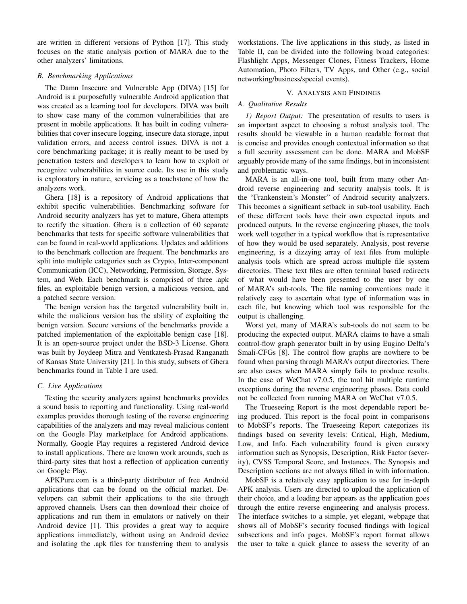are written in different versions of Python [17]. This study focuses on the static analysis portion of MARA due to the other analyzers' limitations.

## *B. Benchmarking Applications*

The Damn Insecure and Vulnerable App (DIVA) [15] for Android is a purposefully vulnerable Android application that was created as a learning tool for developers. DIVA was built to show case many of the common vulnerabilities that are present in mobile applications. It has built in coding vulnerabilities that cover insecure logging, insecure data storage, input validation errors, and access control issues. DIVA is not a core benchmarking package; it is really meant to be used by penetration testers and developers to learn how to exploit or recognize vulnerabilities in source code. Its use in this study is exploratory in nature, servicing as a touchstone of how the analyzers work.

Ghera [18] is a repository of Android applications that exhibit specific vulnerabilities. Benchmarking software for Android security analyzers has yet to mature, Ghera attempts to rectify the situation. Ghera is a collection of 60 separate benchmarks that tests for specific software vulnerabilities that can be found in real-world applications. Updates and additions to the benchmark collection are frequent. The benchmarks are split into multiple categories such as Crypto, Inter-component Communication (ICC), Networking, Permission, Storage, System, and Web. Each benchmark is comprised of three .apk files, an exploitable benign version, a malicious version, and a patched secure version.

The benign version has the targeted vulnerability built in, while the malicious version has the ability of exploiting the benign version. Secure versions of the benchmarks provide a patched implementation of the exploitable benign case [18]. It is an open-source project under the BSD-3 License. Ghera was built by Joydeep Mitra and Ventkatesh-Prasad Ranganath of Kansas State University [21]. In this study, subsets of Ghera benchmarks found in Table I are used.

#### *C. Live Applications*

Testing the security analyzers against benchmarks provides a sound basis to reporting and functionality. Using real-world examples provides thorough testing of the reverse engineering capabilities of the analyzers and may reveal malicious content on the Google Play marketplace for Android applications. Normally, Google Play requires a registered Android device to install applications. There are known work arounds, such as third-party sites that host a reflection of application currently on Google Play.

APKPure.com is a third-party distributor of free Android applications that can be found on the official market. Developers can submit their applications to the site through approved channels. Users can then download their choice of applications and run them in emulators or natively on their Android device [1]. This provides a great way to acquire applications immediately, without using an Android device and isolating the .apk files for transferring them to analysis

workstations. The live applications in this study, as listed in Table II, can be divided into the following broad categories: Flashlight Apps, Messenger Clones, Fitness Trackers, Home Automation, Photo Filters, TV Apps, and Other (e.g., social networking/business/special events).

## V. ANALYSIS AND FINDINGS

## *A. Qualitative Results*

*1) Report Output:* The presentation of results to users is an important aspect to choosing a robust analysis tool. The results should be viewable in a human readable format that is concise and provides enough contextual information so that a full security assessment can be done. MARA and MobSF arguably provide many of the same findings, but in inconsistent and problematic ways.

MARA is an all-in-one tool, built from many other Android reverse engineering and security analysis tools. It is the "Frankenstein's Monster" of Android security analyzers. This becomes a significant setback in sub-tool usability. Each of these different tools have their own expected inputs and produced outputs. In the reverse engineering phases, the tools work well together in a typical workflow that is representative of how they would be used separately. Analysis, post reverse engineering, is a dizzying array of text files from multiple analysis tools which are spread across multiple file system directories. These text files are often terminal based redirects of what would have been presented to the user by one of MARA's sub-tools. The file naming conventions made it relatively easy to ascertain what type of information was in each file, but knowing which tool was responsible for the output is challenging.

Worst yet, many of MARA's sub-tools do not seem to be producing the expected output. MARA claims to have a smali control-flow graph generator built in by using Eugino Delfa's Smali-CFGs [8]. The control flow graphs are nowhere to be found when parsing through MARA's output directories. There are also cases when MARA simply fails to produce results. In the case of WeChat v7.0.5, the tool hit multiple runtime exceptions during the reverse engineering phases. Data could not be collected from running MARA on WeChat v7.0.5.

The Trueseeing Report is the most dependable report being produced. This report is the focal point in comparisons to MobSF's reports. The Trueseeing Report categorizes its findings based on severity levels: Critical, High, Medium, Low, and Info. Each vulnerability found is given cursory information such as Synopsis, Description, Risk Factor (severity), CVSS Temporal Score, and Instances. The Synopsis and Description sections are not always filled in with information.

MobSF is a relatively easy application to use for in-depth APK analysis. Users are directed to upload the application of their choice, and a loading bar appears as the application goes through the entire reverse engineering and analysis process. The interface switches to a simple, yet elegant, webpage that shows all of MobSF's security focused findings with logical subsections and info pages. MobSF's report format allows the user to take a quick glance to assess the severity of an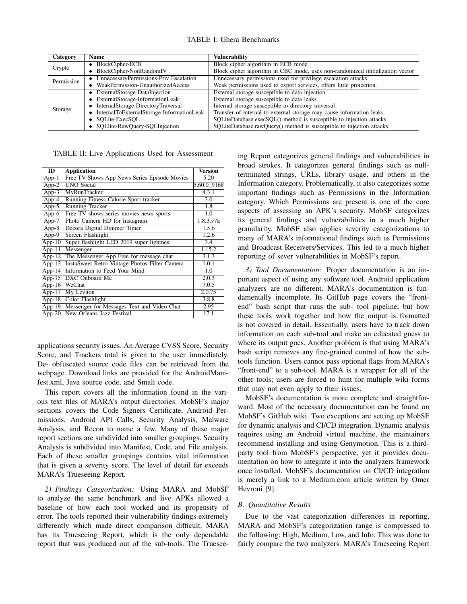|  |  | <b>TABLE I: Ghera Benchmarks</b> |
|--|--|----------------------------------|
|--|--|----------------------------------|

| Category   | Name                                        | Vulnerability                                                                 |
|------------|---------------------------------------------|-------------------------------------------------------------------------------|
| Crypto     | • BlockCipher-ECB                           | Block cipher algorithm in ECB mode                                            |
|            | • BlockCipher-NonRandomIV                   | Block cipher algorithm in CBC mode, uses non-randomized initialization vector |
| Permission | • UnnecessaryPermissions-Priv Escalation    | Unnecessary permissions used for privilege escalation attacks                 |
|            | • WeakPermission-UnauthorizedAccess         | Weak permissions used to export services, offers little protection.           |
| Storage    | • ExternalStorage-DataInjection             | External storage susceptible to data injection                                |
|            | • ExternalStorage-InformationLeak           | External storage susceptible to data leaks                                    |
|            | • InternalStorage-DirectoryTraversal        | Internal storage susceptible to directory traversal                           |
|            | • InternalToExternalStorage-InformationLeak | Transfer of internal to external storage may cause information leaks          |
|            | • SOLite-ExecSOL                            | SQLiteDatabase.execSQL() method is susceptible to injection attacks           |
|            | • SQLlite-RawQuery-SQLInjection             | SQLiteDatabase.rawQuery() method is susceptible to injection attacks          |

TABLE II: Live Applications Used for Assessment

| ID                  | <b>Application</b>                            | <b>Version</b>   |
|---------------------|-----------------------------------------------|------------------|
| $App-1$             | Free TV Shows App News Series Episode Movies  | 5.20             |
| $App-2$             | <b>UNO Social</b>                             | 5.60.0 9168      |
| $App-3$             | MyRunTracker                                  | 4.3.1            |
| App-4               | Running Fitness Calorie Sport tracker         | $\overline{3.0}$ |
| $App-5$             | Running Tracker                               | 1.8              |
| $App-6$             | Free TV shows series movies news sports       | 1.0              |
| App-7               | Photo Camera HD for Instagram                 | 1.8.3.v7a        |
| $App-8$             | Decora Digital Dimmer Timer                   | 1.5.6            |
| $App-9$             | Screen Flashlight                             | 1.2.6            |
| $\overline{App-10}$ | Super flashlight LED 2019 super lightnes      | 3.4              |
| $App-11$            | Messenger                                     | 1.15.2           |
| App- $12$           | The Messenger App Free for message chat       | 3.1.3            |
| $App-13$            | InstaSweet Retro Vintage Photos Filter Camera | 1.0.1            |
| App-14              | Information to Feed Your Mind                 | 1.0              |
| $App-15$            | DXC Onboard Me                                | 2.0.3            |
| App-16              | WeChat                                        | 7.0.5            |
| App- $17$           | My Leviton                                    | 2.0.75           |
| App- $18$           | Color Flashlight                              | 3.8.8            |
| App-19              | Messenger for Messages Text and Video Chat    | 2.95             |
| $App-20$            | New Orleans Jazz Festival                     | 17.1             |

applications security issues. An Average CVSS Score, Security Score, and Trackers total is given to the user immediately. De- obfuscated source code files can be retrieved from the webpage. Download links are provided for the AndroidManifest.xml, Java source code, and Smali code.

This report covers all the information found in the various text files of MARA's output directories. MobSF's major sections covers the Code Signers Certificate, Android Permissions, Android API Calls, Security Analysis, Malware Analysis, and Recon to name a few. Many of these major report sections are subdivided into smaller groupings. Security Analysis is subdivided into Manifest, Code, and File analysis. Each of these smaller groupings contains vital information that is given a severity score. The level of detail far exceeds MARA's Trueseeing Report.

*2) Findings Categorization:* Using MARA and MobSF to analyze the same benchmark and live APKs allowed a baseline of how each tool worked and its propensity of error. The tools reported their vulnerability findings extremely differently which made direct comparison difficult. MARA has its Trueseeing Report, which is the only dependable report that was produced out of the sub-tools. The Trueseeing Report categorizes general findings and vulnerabilities in broad strokes. It categorizes general findings such as nullterminated strings, URLs, library usage, and others in the Information category. Problematically, it also categorizes some important findings such as Permissions in the Information category. Which Permissions are present is one of the core aspects of assessing an APK's security. MobSF categorizes its general findings and vulnerabilities in a much higher granularity. MobSF also applies severity categorizations to many of MARA's informational findings such as Permissions and Broadcast Receivers/Services. This led to a much higher reporting of sever vulnerabilities in MobSF's report.

*3) Tool Documentation:* Proper documentation is an important aspect of using any software tool. Android application analyzers are no different. MARA's documentation is fundamentally incomplete. Its GitHub page covers the "frontend" bash script that runs the sub- tool pipeline, but how these tools work together and how the output is formatted is not covered in detail. Essentially, users have to track down information on each sub-tool and make an educated guess to where its output goes. Another problem is that using MARA's bash script removes any fine-grained control of how the subtools function. Users cannot pass optional flags from MARA's "front-end" to a sub-tool. MARA is a wrapper for all of the other tools; users are forced to hunt for multiple wiki forms that may not even apply to their issues.

MobSF's documentation is more complete and straightforward. Most of the necessary documentation can be found on MobSF's GitHub wiki. Two exceptions are setting up MobSF for dynamic analysis and CI/CD integration. Dynamic analysis requires using an Android virtual machine, the maintainers recommend installing and using Genymotion. This is a thirdparty tool from MobSF's perspective, yet it provides documentation on how to integrate it into the analyzers framework once installed. MobSF's documentation on CI/CD integration is merely a link to a Medium.com article written by Omer Hevroni [9].

#### *B. Quantitative Results*

Due to the vast categorization differences in reporting, MARA and MobSF's categorization range is compressed to the following: High, Medium, Low, and Info. This was done to fairly compare the two analyzers. MARA's Trueseeing Report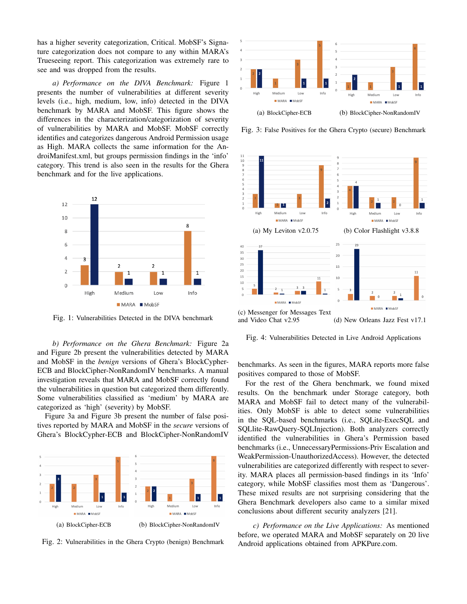has a higher severity categorization, Critical. MobSF's Signature categorization does not compare to any within MARA's Trueseeing report. This categorization was extremely rare to see and was dropped from the results.

*a) Performance on the DIVA Benchmark:* Figure 1 presents the number of vulnerabilities at different severity levels (i.e., high, medium, low, info) detected in the DIVA benchmark by MARA and MobSF. This figure shows the differences in the characterization/categorization of severity of vulnerabilities by MARA and MobSF. MobSF correctly identifies and categorizes dangerous Android Permission usage as High. MARA collects the same information for the AndroiManifest.xml, but groups permission findings in the 'info' category. This trend is also seen in the results for the Ghera benchmark and for the live applications.



Fig. 1: Vulnerabilities Detected in the DIVA benchmark

*b) Performance on the Ghera Benchmark:* Figure 2a and Figure 2b present the vulnerabilities detected by MARA and MobSF in the *benign* versions of Ghera's BlockCypher-ECB and BlockCipher-NonRandomIV benchmarks. A manual investigation reveals that MARA and MobSF correctly found the vulnerabilities in question but categorized them differently. Some vulnerabilities classified as 'medium' by MARA are categorized as 'high' (severity) by MobSF.

Figure 3a and Figure 3b present the number of false positives reported by MARA and MobSF in the *secure* versions of Ghera's BlockCypher-ECB and BlockCipher-NonRandomIV



Fig. 2: Vulnerabilities in the Ghera Crypto (benign) Benchmark



Fig. 3: False Positives for the Ghera Crypto (secure) Benchmark



Fig. 4: Vulnerabilities Detected in Live Android Applications

benchmarks. As seen in the figures, MARA reports more false positives compared to those of MobSF.

For the rest of the Ghera benchmark, we found mixed results. On the benchmark under Storage category, both MARA and MobSF fail to detect many of the vulnerabilities. Only MobSF is able to detect some vulnerabilities in the SQL-based benchmarks (i.e., SQLite-ExecSQL and SQLlite-RawQuery-SQLInjection). Both analyzers correctly identified the vulnerabilities in Ghera's Permission based benchmarks (i.e., UnnecessaryPermissions-Priv Escalation and WeakPermission-UnauthorizedAccess). However, the detected vulnerabilities are categorized differently with respect to severity. MARA places all permission-based findings in its 'Info' category, while MobSF classifies most them as 'Dangerous'. These mixed results are not surprising considering that the Ghera Benchmark developers also came to a similar mixed conclusions about different security analyzers [21].

*c) Performance on the Live Applications:* As mentioned before, we operated MARA and MobSF separately on 20 live Android applications obtained from APKPure.com.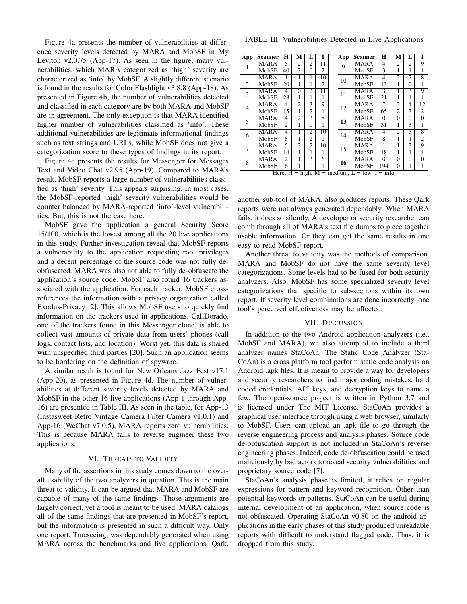Figure 4a presents the number of vulnerabilities at difference severity levels detected by MARA and MobSF in My Leviton v2.0.75 (App-17). As seen in the figure, many vulnerabilities, which MARA categorized as 'high' severity are characterized as 'info' by MobSF. A slightly different scenario is found in the results for Color Flashlight v3.8.8 (App-18). As presented in Figure 4b, the number of vulnerabilities detected and classified in each category are by both MARA and MobSF are in agreement. The only exception is that MARA identified higher number of vulnerabilities classified as 'info'. These additional vulnerabilities are legitimate informational findings such as text strings and URLs, while MobSF does not give a categorization score to these types of findings in its report.

Figure 4c presents the results for Messenger for Messages Text and Video Chat v2.95 (App-19). Compared to MARA's result, MobSF reports a large number of vulnerabilities classified as 'high' severity. This appears surprising. In most cases, the MobSF-reported 'high' severity vulnerabilities would be counter balanced by MARA-reported 'info'-level vulnerabilities. But, this is not the case here.

MobSF gave the application a general Security Score 15/100, which is the lowest among all the 20 live applications in this study. Further investigation reveal that MobSF reports a vulnerability to the application requesting root privileges and a decent percentage of the source code was not fully deobfuscated. MARA was also not able to fully de-obfuscate the application's source code. MobSF also found 16 trackers associated with the application. For each tracker, MobSF crossreferences the information with a privacy organization called Exodus-Privacy [2]. This allows MobSF users to quickly find information on the trackers used in applications. CallDorado, one of the trackers found in this Messenger clone, is able to collect vast amounts of private data from users' phones (call logs, contact lists, and location). Worst yet, this data is shared with unspecified third parties [20]. Such an application seems to be bordering on the definition of spyware.

A similar result is found for New Orleans Jazz Fest v17.1 (App-20), as presented in Figure 4d. The number of vulnerabilities at different severity levels detected by MARA and MobSF in the other 16 live applications (App-1 through App-16) are presented in Table III. As seen in the table, for App-13 (Instasweet Retro Vintage Camera Filter Camera v1.0.1) and App-16 (WeChat v7.0.5), MARA reports zero vulnerabilities. This is because MARA fails to reverse engineer these two applications.

### VI. THREATS TO VALIDITY

Many of the assertions in this study comes down to the overall usability of the two analyzers in question. This is the main threat to validity. It can be argued that MARA and MobSF are capable of many of the same findings. Those arguments are largely correct, yet a tool is meant to be used. MARA catalogs all of the same findings that are presented in MobSF's report, but the information is presented in such a difficult way. Only one report, Trueseeing, was dependably generated when using MARA across the benchmarks and live applications. Qark,

TABLE III: Vulnerabilities Detected in Live Applications

| App            | <b>Scanner</b> | H              | м              | L              |                 |  | App   | <b>Scanner</b> | H              | м              | L              |                |
|----------------|----------------|----------------|----------------|----------------|-----------------|--|-------|----------------|----------------|----------------|----------------|----------------|
|                | <b>MARA</b>    | 5              | $\overline{c}$ | $\overline{c}$ | 11              |  | 9     | MARA           | 4              | $\mathfrak{D}$ | $\overline{c}$ | 9              |
|                | MobSF          | 40             | $\overline{c}$ | $\Omega$       | $\overline{c}$  |  |       | MobSF          | 3              | 1              | 1              |                |
| $\overline{c}$ | <b>MARA</b>    | 1              | 1              | 1              | 10              |  | 10    | MARA           | 4              | 2              | 3              | 8              |
|                | MobSF          | 20             | 1              | 1              | 2               |  |       | MobSF          | 13             | 1              | $\Omega$       |                |
| 3              | <b>MARA</b>    | 4              | $\overline{0}$ | $\overline{2}$ | $\overline{11}$ |  | 11    | <b>MARA</b>    | 3              |                | 3              | 9              |
|                | MobSF          | 28             | 1              | 1              | 1               |  |       | MobSF          | 21             | 1              | 1              |                |
| $\overline{4}$ | <b>MARA</b>    | 4              | $\overline{2}$ | 3              | g               |  | 12    | <b>MARA</b>    | 7              | 3              | $\overline{4}$ | 12             |
|                | MobSF          | 15             |                | 2              | н               |  |       | MobSF          | 65             | $\overline{c}$ | 3              | $\overline{c}$ |
| 5              | <b>MARA</b>    | 4              | $\overline{2}$ | 3              | $\overline{8}$  |  | 13    | <b>MARA</b>    | $\Omega$       | $\overline{0}$ | $\Omega$       | $\overline{0}$ |
|                | MobSF          | $\overline{c}$ | 1              | $\Omega$       | 1               |  |       | MobSF          | 31             | 1              | 3              |                |
| 6              | <b>MARA</b>    | $\overline{4}$ | 1              | $\overline{c}$ | 10              |  | 14    | <b>MARA</b>    | $\overline{4}$ | $\mathfrak{D}$ | 3              | $\overline{8}$ |
|                | MobSF          | 8              | 1              | $\overline{2}$ | 1               |  |       | MobSF          | 8              | 1              | 1              | 2              |
|                | <b>MARA</b>    | 5              | 3              | $\overline{c}$ | $\overline{10}$ |  | 15    | <b>MARA</b>    | 1              |                | 3              | 9              |
|                | MobSF          | 14             | 1              | 1              | 1               |  |       | MobSF          | 18             | 1              | 1              |                |
| 8              | <b>MARA</b>    | $\overline{2}$ | 1              | 3              | 6               |  | 16    | <b>MARA</b>    | $\overline{0}$ | $\overline{0}$ | $\overline{0}$ | $\overline{0}$ |
|                | MobSF          | 6              |                | $\Omega$       |                 |  | MobSF | 194            | 0              | 1              |                |                |

|  | Here, $H = high$ , $M = medium$ , $L = low$ , $I = info$ |
|--|----------------------------------------------------------|
|--|----------------------------------------------------------|

another sub-tool of MARA, also produces reports. These Qark reports were not always generated dependably. When MARA fails, it does so silently. A developer or security researcher can comb through all of MARA's text file dumps to piece together usable information. Or they can get the same results in one easy to read MobSF report.

Another threat to validity was the methods of comparison. MARA and MobSF do not have the same severity level categorizations. Some levels had to be fused for both security analyzers. Also, MobSF has some specialized severity level categorizations that specific to sub-sections within its own report. If severity level combinations are done incorrectly, one tool's perceived effectiveness may be affected.

## VII. DISCUSSION

In addition to the two Android application analyzers (i.e., MobSF and MARA), we also attempted to include a third analyzer names StaCoAn. The Static Code Analyzer (Sta-CoAn) is a cross platform tool perform static code analysis on Android .apk files. It is meant to provide a way for developers and security researchers to find major coding mistakes, hard coded credentials, API keys, and decryption keys to name a few. The open-source project is written in Python 3.7 and is licensed under The MIT License. StaCoAn provides a graphical user interface through using a web browser, similarly to MobSF. Users can upload an .apk file to go through the reverse engineering process and analysis phases. Source code de-obfuscation support is not included in StaCoAn's reverse engineering phases. Indeed, code de-obfuscation could be used maliciously by bad actors to reveal security vulnerabilities and proprietary source code [7].

StaCoAn's analysis phase is limited, it relies on regular expressions for pattern and keyword recognition. Other than potential keywords or patterns. StaCoAn can be useful during internal development of an application, when source code is not obfuscated. Operating StaCoAn v0.80 on the android applications in the early phases of this study produced unreadable reports with difficult to understand flagged code. Thus, it is dropped from this study.